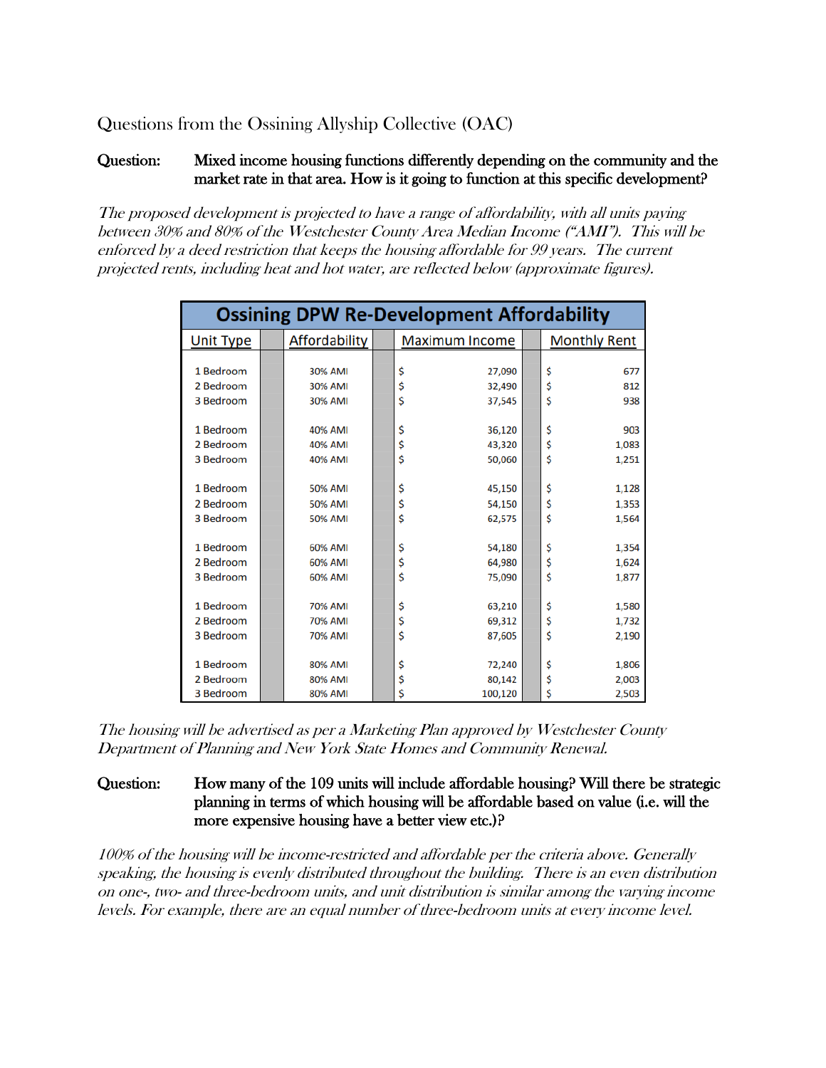Questions from the Ossining Allyship Collective (OAC)

# Question: Mixed income housing functions differently depending on the community and the market rate in that area. How is it going to function at this specific development?

The proposed development is projected to have a range of affordability, with all units paying between 30% and 80% of the Westchester County Area Median Income ("AMI"). This will be enforced by a deed restriction that keeps the housing affordable for 99 years. The current projected rents, including heat and hot water, are reflected below (approximate figures).

| <b>Ossining DPW Re-Development Affordability</b> |  |                |  |                       |  |                     |
|--------------------------------------------------|--|----------------|--|-----------------------|--|---------------------|
| <b>Unit Type</b>                                 |  | Affordability  |  | <b>Maximum Income</b> |  | <b>Monthly Rent</b> |
|                                                  |  |                |  |                       |  |                     |
| 1 Bedroom                                        |  | 30% AMI        |  | \$<br>27,090          |  | \$<br>677           |
| 2 Bedroom                                        |  | 30% AMI        |  | \$<br>32,490          |  | \$<br>812           |
| 3 Bedroom                                        |  | 30% AMI        |  | \$<br>37,545          |  | \$<br>938           |
|                                                  |  |                |  |                       |  |                     |
| 1 Bedroom                                        |  | 40% AMI        |  | \$<br>36,120          |  | \$<br>903           |
| 2 Bedroom                                        |  | 40% AMI        |  | \$<br>43,320          |  | \$<br>1,083         |
| 3 Bedroom                                        |  | 40% AMI        |  | \$<br>50,060          |  | \$<br>1,251         |
|                                                  |  |                |  |                       |  |                     |
| 1 Bedroom                                        |  | <b>50% AMI</b> |  | \$<br>45,150          |  | \$<br>1,128         |
| 2 Bedroom                                        |  | 50% AMI        |  | \$<br>54,150          |  | \$<br>1,353         |
| 3 Bedroom                                        |  | <b>50% AMI</b> |  | Ś<br>62,575           |  | Ś<br>1,564          |
|                                                  |  |                |  |                       |  |                     |
| 1 Bedroom                                        |  | 60% AMI        |  | \$<br>54,180          |  | \$<br>1,354         |
| 2 Bedroom                                        |  | 60% AMI        |  | \$<br>64.980          |  | \$<br>1,624         |
| 3 Bedroom                                        |  | 60% AMI        |  | \$<br>75,090          |  | \$<br>1,877         |
|                                                  |  |                |  |                       |  |                     |
| 1 Bedroom                                        |  | 70% AMI        |  | \$<br>63,210          |  | \$<br>1,580         |
| 2 Bedroom                                        |  | 70% AMI        |  | \$<br>69,312          |  | \$<br>1,732         |
| 3 Bedroom                                        |  | 70% AMI        |  | \$<br>87,605          |  | \$<br>2,190         |
|                                                  |  |                |  |                       |  |                     |
| 1 Bedroom                                        |  | 80% AMI        |  | \$<br>72,240          |  | \$<br>1,806         |
| 2 Bedroom                                        |  | 80% AMI        |  | \$<br>80,142          |  | \$<br>2,003         |
| 3 Bedroom                                        |  | 80% AMI        |  | \$<br>100,120         |  | \$<br>2,503         |

The housing will be advertised as per a Marketing Plan approved by Westchester County Department of Planning and New York State Homes and Community Renewal.

# Question: How many of the 109 units will include affordable housing? Will there be strategic planning in terms of which housing will be affordable based on value (i.e. will the more expensive housing have a better view etc.)?

100% of the housing will be income-restricted and affordable per the criteria above. Generally speaking, the housing is evenly distributed throughout the building. There is an even distribution on one-, two- and three-bedroom units, and unit distribution is similar among the varying income levels. For example, there are an equal number of three-bedroom units at every income level.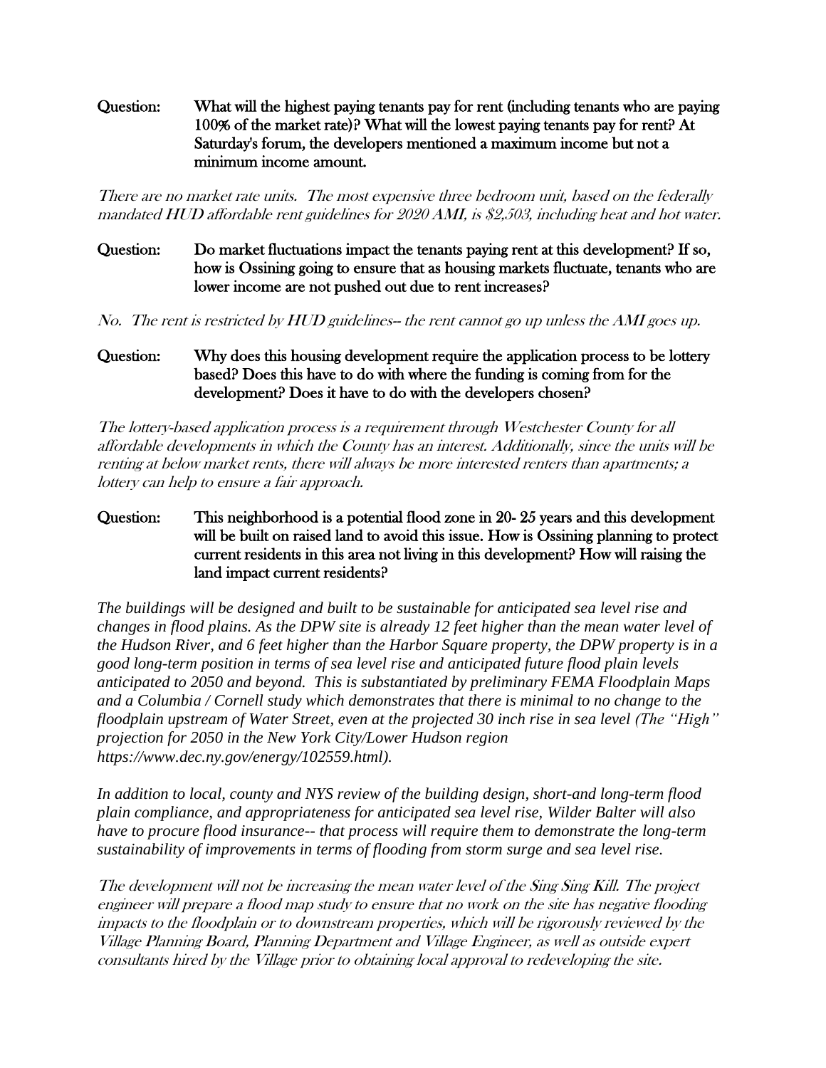Question: What will the highest paying tenants pay for rent (including tenants who are paying 100% of the market rate)? What will the lowest paying tenants pay for rent? At Saturday's forum, the developers mentioned a maximum income but not a minimum income amount.

There are no market rate units. The most expensive three bedroom unit, based on the federally mandated HUD affordable rent guidelines for 2020 AMI, is \$2,503, including heat and hot water.

# Question: Do market fluctuations impact the tenants paying rent at this development? If so, how is Ossining going to ensure that as housing markets fluctuate, tenants who are lower income are not pushed out due to rent increases?

No. The rent is restricted by HUD guidelines-- the rent cannot go up unless the AMI goes up.

# Question: Why does this housing development require the application process to be lottery based? Does this have to do with where the funding is coming from for the development? Does it have to do with the developers chosen?

The lottery-based application process is a requirement through Westchester County for all affordable developments in which the County has an interest. Additionally, since the units will be renting at below market rents, there will always be more interested renters than apartments; a lottery can help to ensure a fair approach.

### Question: This neighborhood is a potential flood zone in 20- 25 years and this development will be built on raised land to avoid this issue. How is Ossining planning to protect current residents in this area not living in this development? How will raising the land impact current residents?

*The buildings will be designed and built to be sustainable for anticipated sea level rise and changes in flood plains. As the DPW site is already 12 feet higher than the mean water level of the Hudson River, and 6 feet higher than the Harbor Square property, the DPW property is in a good long-term position in terms of sea level rise and anticipated future flood plain levels anticipated to 2050 and beyond. This is substantiated by preliminary FEMA Floodplain Maps and a Columbia / Cornell study which demonstrates that there is minimal to no change to the floodplain upstream of Water Street, even at the projected 30 inch rise in sea level (The "High" projection for 2050 in the New York City/Lower Hudson region https://www.dec.ny.gov/energy/102559.html).* 

*In addition to local, county and NYS review of the building design, short-and long-term flood plain compliance, and appropriateness for anticipated sea level rise, Wilder Balter will also have to procure flood insurance-- that process will require them to demonstrate the long-term sustainability of improvements in terms of flooding from storm surge and sea level rise.* 

The development will not be increasing the mean water level of the Sing Sing Kill. The project engineer will prepare a flood map study to ensure that no work on the site has negative flooding impacts to the floodplain or to downstream properties, which will be rigorously reviewed by the Village Planning Board, Planning Department and Village Engineer, as well as outside expert consultants hired by the Village prior to obtaining local approval to redeveloping the site.